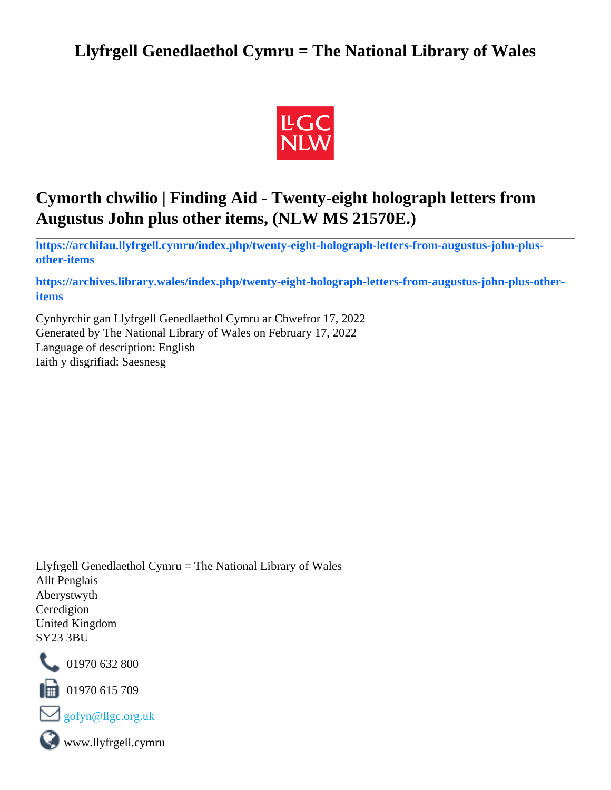# **Llyfrgell Genedlaethol Cymru = The National Library of Wales**



# **Cymorth chwilio | Finding Aid - Twenty-eight holograph letters from Augustus John plus other items, (NLW MS 21570E.)**

**[https://archifau.llyfrgell.cymru/index.php/twenty-eight-holograph-letters-from-augustus-john-plus](https://archifau.llyfrgell.cymru/index.php/twenty-eight-holograph-letters-from-augustus-john-plus-other-items;isad?sf_culture=cy)[other-items](https://archifau.llyfrgell.cymru/index.php/twenty-eight-holograph-letters-from-augustus-john-plus-other-items;isad?sf_culture=cy)**

**[https://archives.library.wales/index.php/twenty-eight-holograph-letters-from-augustus-john-plus-other](https://archives.library.wales/index.php/twenty-eight-holograph-letters-from-augustus-john-plus-other-items;isad?sf_culture=en)[items](https://archives.library.wales/index.php/twenty-eight-holograph-letters-from-augustus-john-plus-other-items;isad?sf_culture=en)**

Cynhyrchir gan Llyfrgell Genedlaethol Cymru ar Chwefror 17, 2022 Generated by The National Library of Wales on February 17, 2022 Language of description: English Iaith y disgrifiad: Saesnesg

Llyfrgell Genedlaethol Cymru = The National Library of Wales Allt Penglais Aberystwyth Ceredigion United Kingdom SY23 3BU



101970 632 800

 $\blacksquare$  01970 615 709



www.llyfrgell.cymru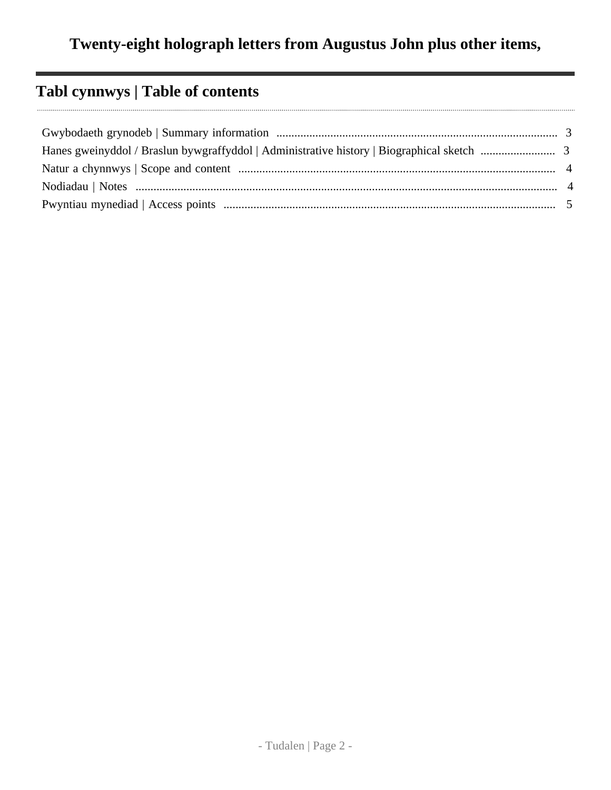# **Tabl cynnwys | Table of contents**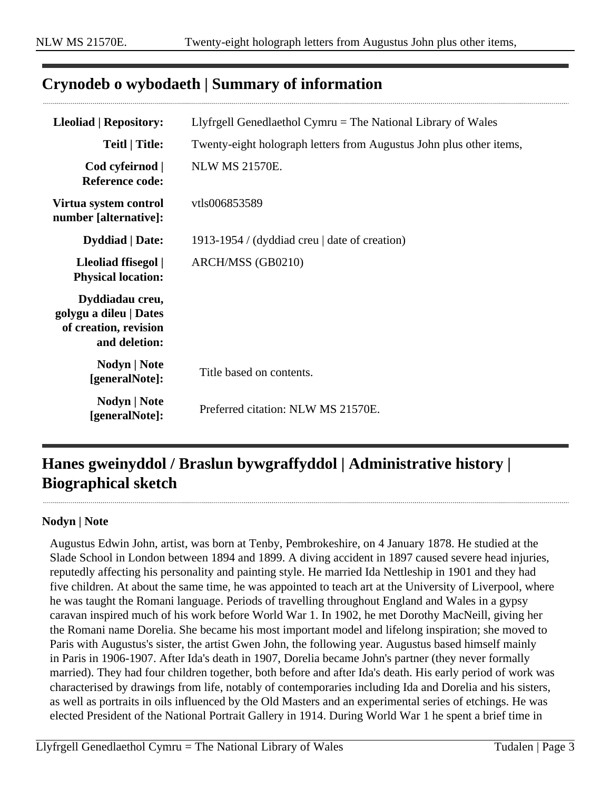### <span id="page-2-0"></span>**Crynodeb o wybodaeth | Summary of information**

| <b>Lleoliad   Repository:</b>                                                       | Llyfrgell Genedlaethol Cymru $=$ The National Library of Wales      |
|-------------------------------------------------------------------------------------|---------------------------------------------------------------------|
| <b>Teitl</b>   Title:                                                               | Twenty-eight holograph letters from Augustus John plus other items, |
| Cod cyfeirnod  <br><b>Reference code:</b>                                           | <b>NLW MS 21570E.</b>                                               |
| Virtua system control<br>number [alternative]:                                      | vtls006853589                                                       |
| <b>Dyddiad</b>   Date:                                                              | 1913-1954 / (dyddiad creu   date of creation)                       |
| Lleoliad ffisegol  <br><b>Physical location:</b>                                    | ARCH/MSS (GB0210)                                                   |
| Dyddiadau creu,<br>golygu a dileu   Dates<br>of creation, revision<br>and deletion: |                                                                     |
| <b>Nodyn</b>   <b>Note</b><br>[generalNote]:                                        | Title based on contents.                                            |
| <b>Nodyn</b>   <b>Note</b><br>[generalNote]:                                        | Preferred citation: NLW MS 21570E.                                  |

# <span id="page-2-1"></span>**Hanes gweinyddol / Braslun bywgraffyddol | Administrative history | Biographical sketch**

#### **Nodyn | Note**

Augustus Edwin John, artist, was born at Tenby, Pembrokeshire, on 4 January 1878. He studied at the Slade School in London between 1894 and 1899. A diving accident in 1897 caused severe head injuries, reputedly affecting his personality and painting style. He married Ida Nettleship in 1901 and they had five children. At about the same time, he was appointed to teach art at the University of Liverpool, where he was taught the Romani language. Periods of travelling throughout England and Wales in a gypsy caravan inspired much of his work before World War 1. In 1902, he met Dorothy MacNeill, giving her the Romani name Dorelia. She became his most important model and lifelong inspiration; she moved to Paris with Augustus's sister, the artist Gwen John, the following year. Augustus based himself mainly in Paris in 1906-1907. After Ida's death in 1907, Dorelia became John's partner (they never formally married). They had four children together, both before and after Ida's death. His early period of work was characterised by drawings from life, notably of contemporaries including Ida and Dorelia and his sisters, as well as portraits in oils influenced by the Old Masters and an experimental series of etchings. He was elected President of the National Portrait Gallery in 1914. During World War 1 he spent a brief time in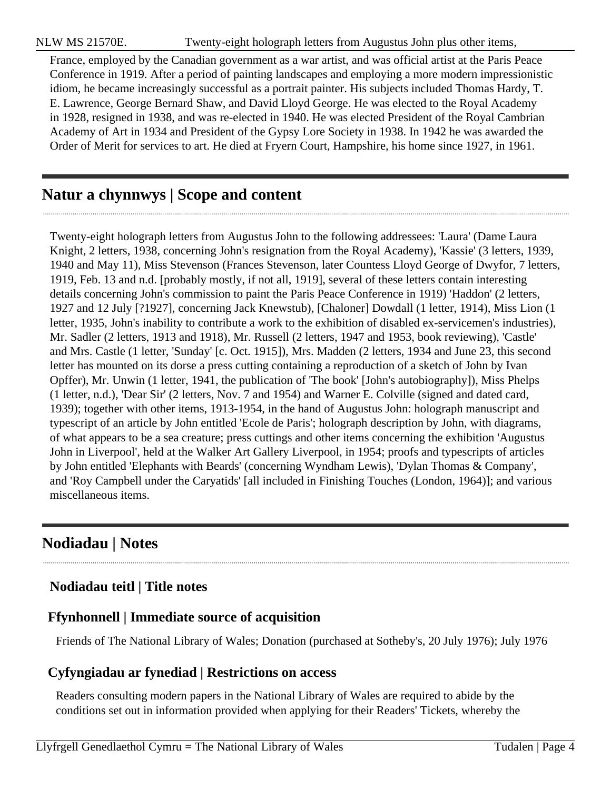France, employed by the Canadian government as a war artist, and was official artist at the Paris Peace Conference in 1919. After a period of painting landscapes and employing a more modern impressionistic idiom, he became increasingly successful as a portrait painter. His subjects included Thomas Hardy, T. E. Lawrence, George Bernard Shaw, and David Lloyd George. He was elected to the Royal Academy in 1928, resigned in 1938, and was re-elected in 1940. He was elected President of the Royal Cambrian Academy of Art in 1934 and President of the Gypsy Lore Society in 1938. In 1942 he was awarded the Order of Merit for services to art. He died at Fryern Court, Hampshire, his home since 1927, in 1961.

### <span id="page-3-0"></span>**Natur a chynnwys | Scope and content**

Twenty-eight holograph letters from Augustus John to the following addressees: 'Laura' (Dame Laura Knight, 2 letters, 1938, concerning John's resignation from the Royal Academy), 'Kassie' (3 letters, 1939, 1940 and May 11), Miss Stevenson (Frances Stevenson, later Countess Lloyd George of Dwyfor, 7 letters, 1919, Feb. 13 and n.d. [probably mostly, if not all, 1919], several of these letters contain interesting details concerning John's commission to paint the Paris Peace Conference in 1919) 'Haddon' (2 letters, 1927 and 12 July [?1927], concerning Jack Knewstub), [Chaloner] Dowdall (1 letter, 1914), Miss Lion (1 letter, 1935, John's inability to contribute a work to the exhibition of disabled ex-servicemen's industries), Mr. Sadler (2 letters, 1913 and 1918), Mr. Russell (2 letters, 1947 and 1953, book reviewing), 'Castle' and Mrs. Castle (1 letter, 'Sunday' [c. Oct. 1915]), Mrs. Madden (2 letters, 1934 and June 23, this second letter has mounted on its dorse a press cutting containing a reproduction of a sketch of John by Ivan Opffer), Mr. Unwin (1 letter, 1941, the publication of 'The book' [John's autobiography]), Miss Phelps (1 letter, n.d.), 'Dear Sir' (2 letters, Nov. 7 and 1954) and Warner E. Colville (signed and dated card, 1939); together with other items, 1913-1954, in the hand of Augustus John: holograph manuscript and typescript of an article by John entitled 'Ecole de Paris'; holograph description by John, with diagrams, of what appears to be a sea creature; press cuttings and other items concerning the exhibition 'Augustus John in Liverpool', held at the Walker Art Gallery Liverpool, in 1954; proofs and typescripts of articles by John entitled 'Elephants with Beards' (concerning Wyndham Lewis), 'Dylan Thomas & Company', and 'Roy Campbell under the Caryatids' [all included in Finishing Touches (London, 1964)]; and various miscellaneous items.

### <span id="page-3-1"></span>**Nodiadau | Notes**

### **Nodiadau teitl | Title notes**

#### **Ffynhonnell | Immediate source of acquisition**

Friends of The National Library of Wales; Donation (purchased at Sotheby's, 20 July 1976); July 1976

#### **Cyfyngiadau ar fynediad | Restrictions on access**

Readers consulting modern papers in the National Library of Wales are required to abide by the conditions set out in information provided when applying for their Readers' Tickets, whereby the